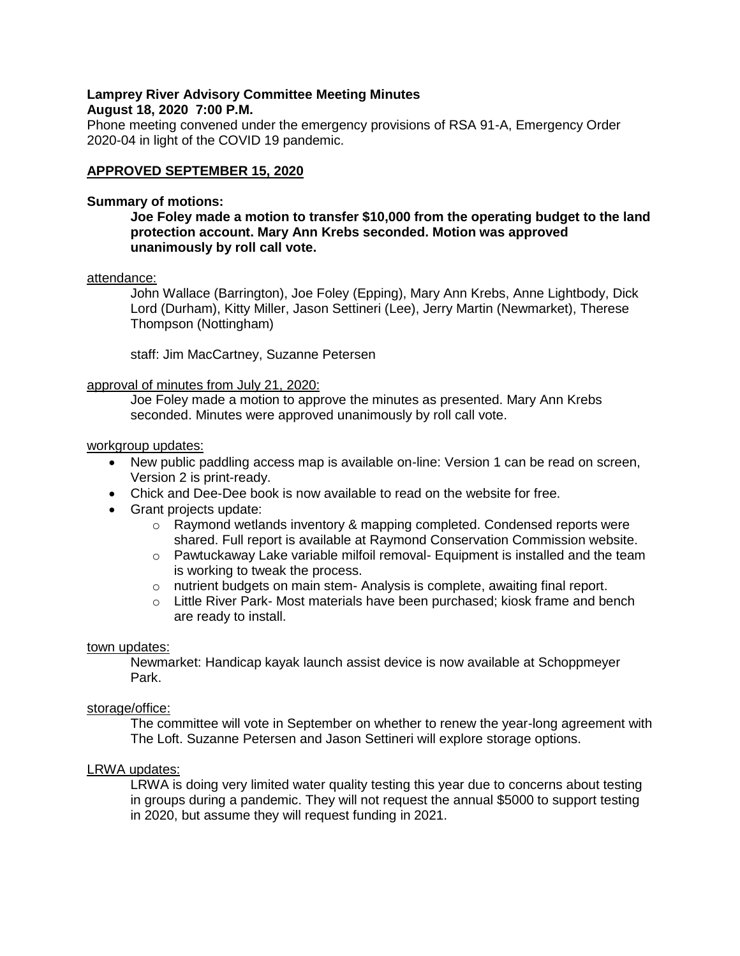## **Lamprey River Advisory Committee Meeting Minutes August 18, 2020 7:00 P.M.**

Phone meeting convened under the emergency provisions of RSA 91-A, Emergency Order 2020-04 in light of the COVID 19 pandemic.

## **APPROVED SEPTEMBER 15, 2020**

### **Summary of motions:**

## **Joe Foley made a motion to transfer \$10,000 from the operating budget to the land protection account. Mary Ann Krebs seconded. Motion was approved unanimously by roll call vote.**

### attendance:

John Wallace (Barrington), Joe Foley (Epping), Mary Ann Krebs, Anne Lightbody, Dick Lord (Durham), Kitty Miller, Jason Settineri (Lee), Jerry Martin (Newmarket), Therese Thompson (Nottingham)

staff: Jim MacCartney, Suzanne Petersen

#### approval of minutes from July 21, 2020:

Joe Foley made a motion to approve the minutes as presented. Mary Ann Krebs seconded. Minutes were approved unanimously by roll call vote.

#### workgroup updates:

- New public paddling access map is available on-line: Version 1 can be read on screen, Version 2 is print-ready.
- Chick and Dee-Dee book is now available to read on the website for free.
- Grant projects update:
	- o Raymond wetlands inventory & mapping completed. Condensed reports were shared. Full report is available at Raymond Conservation Commission website.
	- $\circ$  Pawtuckaway Lake variable milfoil removal- Equipment is installed and the team is working to tweak the process.
	- $\circ$  nutrient budgets on main stem- Analysis is complete, awaiting final report.
	- $\circ$  Little River Park- Most materials have been purchased; kiosk frame and bench are ready to install.

#### town updates:

Newmarket: Handicap kayak launch assist device is now available at Schoppmeyer Park.

#### storage/office:

The committee will vote in September on whether to renew the year-long agreement with The Loft. Suzanne Petersen and Jason Settineri will explore storage options.

### LRWA updates:

LRWA is doing very limited water quality testing this year due to concerns about testing in groups during a pandemic. They will not request the annual \$5000 to support testing in 2020, but assume they will request funding in 2021.